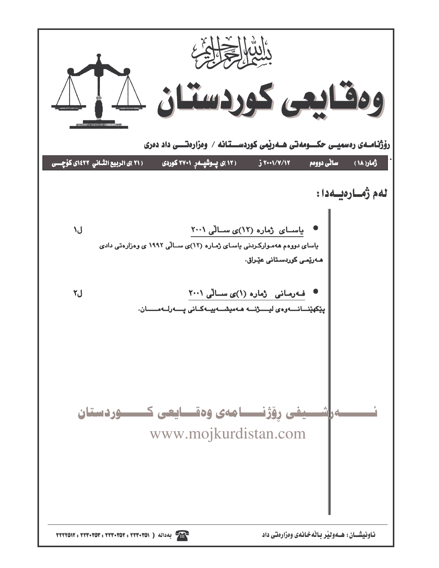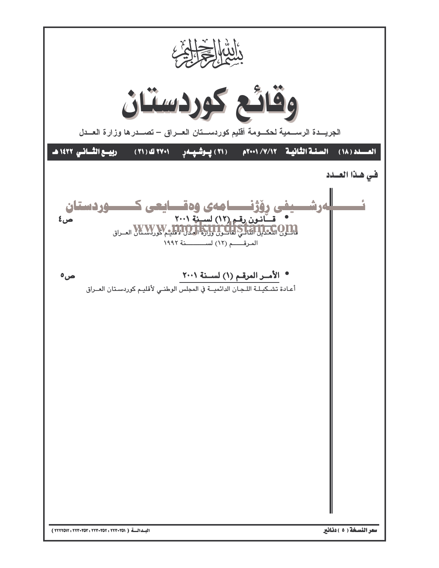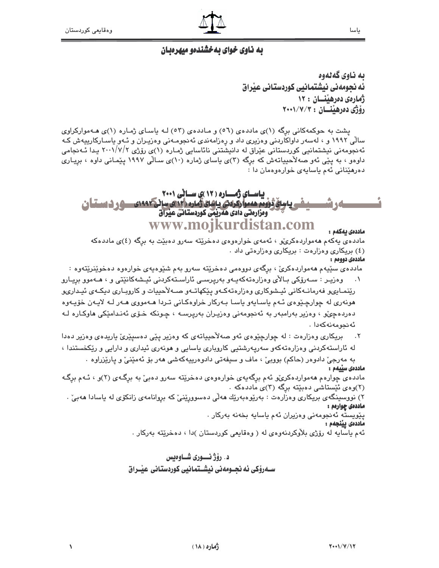$\sqrt{2}$ 

# به ناوی خوای بهخشندهو میهرهبان

يه ناوي گهڻهوه ئه نحومهني نيشتمانيي كوردستاني عيّراق زهارهي دهرهلنسان : ١٢ رۆژى دەرھينسان : ٢٠٠١/٧/٣

پشت به حوکمهکانی برگه (۱)ی ماددهی (٥٦) و مـاددهی (٥٣) لـه پاسـای ژمـاره (۱)ی هـهموارکراوی سالی ۱۹۹۲ و ، لهسهر داواکاردنی وهزیری داد و رهزامهندی ئهنجومـهنی وهزیـران و ئـهو یاسـارکارییهش کـه ئەنجومەنى نیشتمانیى كوردستانى عێراق لە دانیشتنى نائاسايى ژمـارە (١)ى رۆژى ٢٠٠١/٧/٢ يـدا ئـەنجامى داوهو ، به یێی ئهو صهلاٌحییاتهش که برگه (۳)ی یاسای ژماره (۱۰)ی سـالّی ۱۹۹۷ یێمـانی داوه ، بریـاری دهرهٽنائي په م پاسانهي خوار هوهمان دا :

#### باسای ژمـاره ( ۱۲ )ی سـانی ۲۰۰۱ <u> داستۆژۈدە ھەمارگرادى داھاتقارە راتىتى سائىكىمەدى سىھى ئىستىلىن</u> ومزارمتي دادي هەربمي كوردستاني عبراق www.moikurdistan.com ماددەى يەكەم :

مادده ی پهکهم ههمواردهکری و ، ئهمهی خوارهوهی دهخریته سهرو دهبیّت به برگه (٤)ی ماددهکه (٤) بریکاری وهزارهت : بریکاری وهزارهتی داد . ماددەى دوومم:

مادده ی سێپهم ههمواردهکریّ ، برگهی دووهمی دهخرێته سهرو بهم شێوهپهی خوارهوه دهخوێنرێتهوه :

- وەزیـر : سـﻪرۆکى بـﺎلأى وەزارەتەكەيـﻪو بەریرسـى ئاراسـتەكردنى ئیـشەكانێتى و ، ھـﻪموو بریـارو رێنمـایىو فەرمانـەکانى ئیـشوکارى وەزارەتەكـەو پێکهاتـەو صــەلأحییات و کاروبـارى دیكـەي ئیـدارىو ھونەرى لە چوارچـێوەي ئـەم ياسـايەو ياسـا بـەركار خراوەكـانى تـردا ھـەمووى ھـەر لـە لايـەن خۆيـەوە دەردەچى، وەزير بەرامبەر بە ئەنجومەنى وەزيىران بەريرســە ، چـونكە خـۆى ئەنـدامێكى ھاوكـارە ك ئەنجومەنەكەدا .
- بریکاری وهزارهت : له چوارچیوهی ئهو صهلاٌحییاتهی که وهزیر ییّی دهسیییی یاریدهی وهزیر دهدا له ئاراستهکردنی وهزارهتهکهو سهریهرشتیی کاروباری باسایی و هونهری ئیداری و دارایی و ریکخستندا ،

به مەرجىؒ دادوەر (حاكم) بووبیؒ ، ماف و سیفەتی دادوەرپیەكەشى ھەر بۆ ئەمێنیؒ و یارێزراوە . ماددەى سىّىمم :

مادده ی چوارهم ههمواردهکریٌو ئهم برگهیهی خوارهوهی دهخریٌته سهرو دهبیٌ به برگهی (۲)و ، ئـهم برگـه (۲)وهي ئيستاشي دهبيته برگه (۳)ي ماددهکه .

۲) نووسینگەی بریکاری وەزارەت : بەرێوەبەرێك ھەلّى دەسووړێنىٚ كە بروانامەی زانكۆی لە ياسادا ھەبىٚ . ماددهۍ چوارهم :

يێويسته ئەنجومەنى وەزيران ئەم ياسايە بخەنە بەركار . ماددەى يېنجەم :

ئهم ياسايه له رۆژى بلاوكردنهوەي له ( وەقايعى كوردستان )دا ، دەخرێتە بەركار .

## د. رۆژنسورى شــاوەىس ســهروْکی ئه نحــومهنی نیشــتمانیی کوردستانی عیـّـراق

ياسا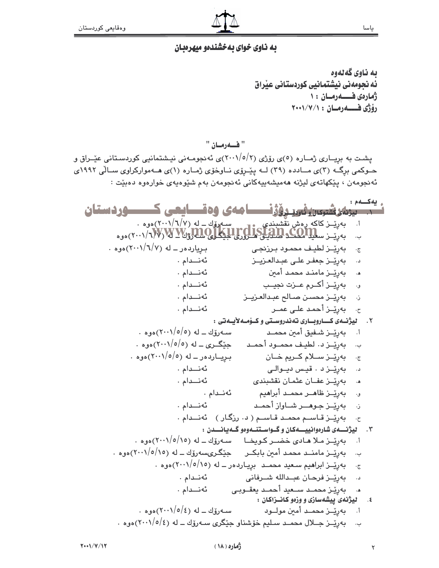$\blacktriangledown$ 

#### يه ناوي خواي يه خشندهو ميهرهيان

ىە ناوي گەلەوە ئه نحومهنی نیشتمانیی کوردستانی عبراق ژمارهی فــــــــهرمــان ١٠ رۆژى فــــــــه رمـــان : ١/٧/١٠٠١

" فـــەرمــان "

یشت به بریــاری ژمــاره (٥)ی رۆژی (٢٠٠١/٥/٢)ی ئهنجومـهنی نیـشتمانیی کوردسـتانی عیّــراق و حــوکمی برگــه (۳)ی مــادده (۳۹) لــه پیّــرِوّی نــاوخوّی ژمــاره (۱)ی هــهموارکراوی ســالّی ۱۹۹۲ی ئەنجومەن ، پێكھاتەي ليژنە ھەميشەپيەكانى ئەنجومەن بەم شێوەپەي خوارەوە دەبێت :

<sub>ه</sub> یه کسهم: <del>۔ سوالی شہبان فاور روڈزنسس</del>ا مادی وہقسایعی کسسوردستان بەرتىز كاكە رەش نقشىندى سىمرتىك ــ لە (٢٠٠١/٦/٧)ەوە .<br>بەرتىز س**ىيلامىگە لالتىلىكىلىكى لايىلىكى بىر (٢٠٠١/٦/٧)**ەوە . سهروّك ــ له (٢٠٠١/٦/٧) هوه أ. بریاردهر \_ له (٢٠٠١/٦/٧)هوه . بەرپىز لطيف محمىود بىرزىجى  $\cdot \tau$ ئەنىدام. د. بەرپىز جعفر على عبدالعزيىز ئەنىدام. ه. - بەرپىز مامنىد محمد أمين و. - بەرپّــز أكــرم عــزت نجيــب ئەنىدام. ئەنىدام. ن. بەرئىز محسىن صيالح عبدالعزيىز ئەنىدام. ح، - بەرپّــز أحمد علـ*ى عم*ــر ٢. ليژنهى كــاروبــارى تەندروسـتى وكـۆمـەلأبـەتى :  $\cdot$  سهرۆك ــ له (٢٠٠١/٥/٥) موم ِ بەرپّــز شــفيق أمي*ن* محمــد أ.  $\cdot$  حٽگري ـ له (٥/٥/٥-٢٠٠١)دوه ب. بەرێـز د. لطیف محمــود أحمـد بریارده ر ـ له (۲۰۰۱/۰/۰۵موه . ج. بەرپىز سىلام كىريم خان ئەنىدام. د. بەرپىز **د . قيس ديــوالـى** ه. بەرپىز عفـان عثمـان نقشىندى ئەنىدام. و. - بەرێــز ظاھــر محمــد أبراھيم ئەنىدام . ن. بەرپىز جوھىر شاواز أحمىد ئەنىدام. ح. بەرپىز قاسىم محمىد قاسىم ( د. رزگار ) ئەنىدام . ۲. دیژنسهی شارهوانییسه کان و گواستنسه وهو گه بانسدن : بەريىز مىلا ھادى خضىر كويخا \_ سەرۆك ــ لە (٢٠٠١/٥/١٥)موه . بەرپّــز مامنــد محمـد أمين بابكــر جێِگـرىسىەرۆك ــ له (٢٠٠١/٥/١٥)موه . ج. بەپێــز ابراھيم سـعيد محمــد برِيـاردەر ــ له (٢٠٠١/٥/١٥)ەوە . ئەنىدام . بەرپىز فرحان عبىداللە شىرفانى ئەنىدام . ه. - بەرپّىز محمــد ســعيد أحمــد يعقــوبـى ٤. د ميژنمى پيشمسازى و وزەوكانــزاكـان : . سەرۆك ــ لە  $\langle \cdot \cdot \cdot \rangle / o / c$ ەوھ ا. بەرپّــز محمــد أمين مولـــود ب. بەرپّــز جــلال محمــد سـليم خۆشناو جێگرى ســەرۆك ــ له (٢٠٠١/٥/٤)ەوه .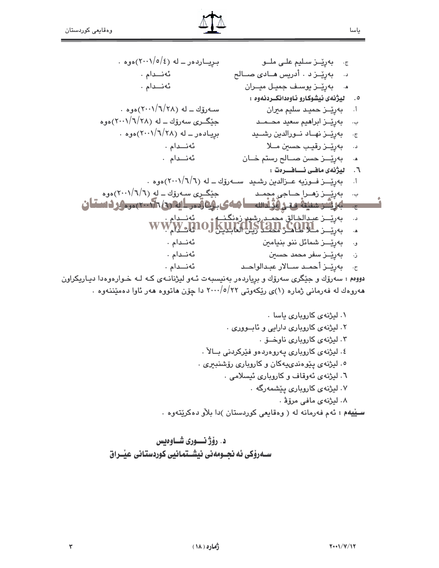بریارده ر ــ له (٢٠٠١/٥/٤)هوه . بەرێـز سـليم علـى ملــو  $\cdot$   $\epsilon$ ئەنىدام. بەرپىز د . أدريس هـادى صـالح د. ئەنىدام. ه. بەرپىز يوسىف جميل ميىران  $\cdot$  سهرۆك ــ له  $\langle Y \wedge \rangle \langle Y \wedge \rangle$ ەوھ أ. بەرپىز حميد سليم ميران جێڰـرې سهرۆك ــ له (٢٨/٦/٢٠١)هوه ب. - **ٻهرٽيــز ابراهيم سعيد** محــمــد بریباده ر ــ له (۲۸/۱/۲۸)هوه . ج. \_ بەرێــز نهــاد نــورالدين رشـــيد ئەنىدام. بەرپىز رقيب حسين مىلا د. ئەنىدام. ه. بەرپىز حسن صىالح رستم خان ٦. ليژنهى مافى ئــافــرەت : بهرپي ز فسوزيه عــزالدين رشـيد ســـهروّك ــ له (٦/٦/٦)هوه .  $\cdot$ ,  $\mathfrak{h}$ جێڰڔؠ سـهرۆك ــ لهِ (٦/٦/٦)موه ب. بەرپىز زەرا ھاجى مجمد <u>ے۔ پرشرسینہ وعرفوْنسا مەی بۇەقىر ايقرى پتى بىر وفسان</u> بەرتىــز عبـدالخـالق مْحمــدرشىد زەنگـنــە<br>بەرتىــز مــلاكـلـكـو <u>14.BAD ۋىلى</u> WW.  $\cdot \cdot$  $\ddot{\mathbf{A}}$ و. بەرپىــز شمائل ننو بنيامىن ئەنىدام. ئەنىدام. ن – **ٻەرپّــز سفر محمد حسي***ن* ح. بەرپّــز أحمــد ســالار عبـدالواحــد ئەنىدام. دوومم : سهرۆك و جێگرى سهرۆك و برياردەر بەنيسبەت ئـهو ليژنانـهى كـه لـه خـوارەوەدا ديـاريكراون ههروهك له فهرماني ژماره (١)ي ريكهوتي ٢٢٠٠/٥/٢٢ دا چۆن هاتووه ههر ئاوا دهميننهوه .

ياسا

٣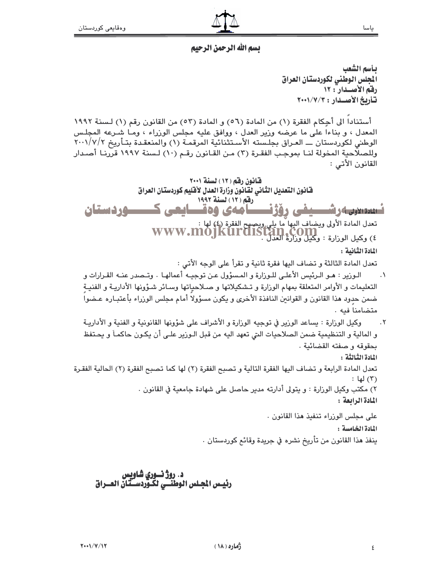### يسم الله الرحمن الرحيم

يأسم الشعب الجلس الوطنى لكوردستان العراق رقم الأصبدار : ١٢ تأريخ الأصيدان: ٢٠٠١/٧/٢

أستنادا الى أجِكام الفقرة (١) من المادة (٥٦) و المادة (٥٣) من القانون رقم (١) لسنة ١٩٩٢ المعدل ، و بناءا على ما عرضه وزير العدل ، ووافق عليه مجلس الوزراء ، ومـا شـرعه المجلـس الوطني لكوردستان ـــ العـراق بجلـسته الأسـتثنائية المرقمـة (١) والمنعقـدة بتـأريخ ٢٠٠١/٧/٢ وللصلاحية المخولة لنـا بموجب الفقـرة (٣) مـن القـانون رقـم (١٠) لـسنة ١٩٩٧ قررنـا أصـدار القانون الأتي :

قانون رقم (١٢) لسنة ٢٠٠١ فنانون التعديل الثناني لقانون وزارة العدل لأقليم كوردستان العراق رفق ( ١٢ ) لسنة ١٩٩٢ تىسسىرىەرشىسىفى رۆژنىسامەي وەقىسايعى كىسسوردستان تعدل المادة الأولى ويضاف النها ما يلي ويصبح الفقرة (٤) لها :<br>٤ / WWW.MOJKUrdiStan.COM ) وكيل الوزارة : وكيل وزارة العدل<br>٤) وكيل الوزارة : وكيل وزارة العدل . المادة الثانية : تعدل المادة الثالثة و تضاف اليها فقرة ثانية و تقرأ على الوجه الأتى : الـوزير : هـو الـرئيس الأعلـى للـوزارة و المـسؤول عـن توجيـه أعمالهـا . وتـصدر عنــه القـرارات و  $\cdot$ التعليمات و الأوامر المتعلقة بمهام الوزارة و تـشكيلاتها و صـلاحياتها وسـائر شـؤونها الأداريـة و الفنيــة ضمن حدود هذا القانون و القوانين النافذة الأخرى و يكون مسؤولا أمام مجلس الوزراء بأعتبـاره عـضوا متضامنا فيه . وكيل الوزارة : يساعد الوزير في توجيه الوزارة و الأشراف على شؤونها القانونية و الفنية و الأداريــة  $\cdot$   $\mathsf{r}$ و المالية و التنظيمية ضمن الصلاحيات التي تعهد اليه من قبل الـورير علـي أن يكـون حاكمـاً و يحـتفظ بحقوقه و صفته القضائية . المادة الثِّبالثَّة : تعدل المادة الرابعة و تضاف اليها الفقرة التالية و تصبح الفقرة (٢) لها كما تصبح الفقرة (٢) الحالية الفقـرة (٣) لها : ٢) مكتب وكيل الوزارة : و يتولى أدارته مدير حاصل على شهادة جامعية في القانون . المادة الرابعة : على مجلس الوزراء تنفيذ هذا القانون . المادة الخامسة :

ينفذ هذا القانون من تأريخ نشره في جريدة وقائع كوردستان .

# د. روژ نسوري شاويس<br>رئيــس الجـلس الوطنــي لكـوردســتان العــراق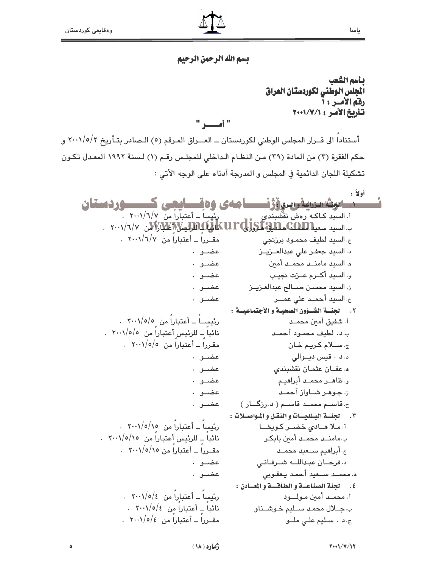# بسم الله الرحمن الرحيم

يأسم الشعب المجلس الوطنى لكوردستان العراق رقم الأمس : أ تأريخ الأمر: ٧٠١/٧/١

 $"$  i  $"$ 

أستناداً الى قــرار المجلس الوطني لكوردستان ــ العــراق المـرقم (٥) الـصادر بتـأريخ ٢٠٠١/٥/٢ و حكم الفقرة (٣) من المادة (٢٩) مـن النظـام الـداخلي للمجلـس رقـم (١) لـسنة ١٩٩٢ المعـدل تكـون تشكيلة اللجان الدائمية في المجلس و المدرجة أدناه على الوجه الأتي :

أولاً: مسابوشسروفوسروؤژنسسا مەي وەقسايچى كىسسوردىستان رئیساً ــ أعتباراً من ١٧/٦/٧ . ا. السيد كـاكـه رەش نقشبن*دى* . ٢٠٠١/٦/٧ مسيد سى الالكترون الاسترنت المن المن ١٣٠١/٦/٧ من ١٢٠٠١/٦/٧ مقبرراً ــ أعتباراً من ١/٦/٧/١٠٠١ . ج السيد لطيف محمـود برزنجى د. السيد جعفـر على عبدالعــزيــز عضـو . هـ السيد مامنــد محمــد أمين عضـو . و. السيد أكرم عـزت نجيب عضـو . عضـو . ن السيد محسـن صــالح عبدالعـزيــز عضبوب ح، السيد أحمــد على عمـــر ٢. لجنسة الشَّـؤون الصحيـة والأجتماعيـة: رئيســاً ــ أعتباراً من ٥/٥/٠٠١ . أ. شفيق أمين محمـد نائباً ــ للرئيس أعتباراً من ١٠٠١/٥/٥. ب.د. لطيف محمود أحمـد مقرراً ــ أعتباراً من ١٥/٥/٠٠ . ج سلام كريم خان عضبوب د. د . قيس ديوالي ه عفان عثمان نقشبندي عضبوب و. ظاهير محميد أبراهيم عضبوب ن جوهر شاواز أحمد عضـو . عضـو . ح قاسـم محمـد قاسـم ( د رزگــار ) ٣. لجنسة البلديسات والنقل والمواصلات: رئیساً ــ أعتباراً من ١٥/٥/١٥ . أ. ملا هادى خضىر كويخا نائباً – للرئيس أعتباراً من ١٥/٥/١٥. . ب مامنــد محمــد أمين بابكـر مقبرراً به أعتباراً من ١٥/٥/١٠١ . ج. أبراهيم سنبعيد محمند د. فرحان عبدالله شرفانى عضبو . عضبو . م محملد سلعيد أحمد يعقوبي ٤. لجنة الصناعة والطاقسة والمسادن: رئيساً ــ أعتباراً من ١٥/٥/٤ . أ. محمــد أمين مــولـــــود نائباً \_ أعتباراً من ١٥/٥/٤ . ب جلال محمد سليم خوشناو مقبرداً به أعتباراً من ٤/٥/٤ . ج.د . سليم على ملو